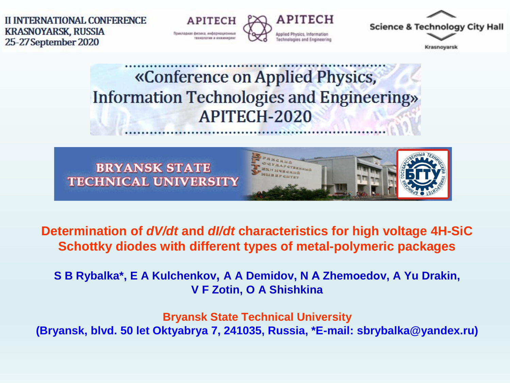





### «Conference on Applied Physics, **Information Technologies and Engineering»** APITECH-2020



**Determination of** *dV/dt* **and** *dI/dt* **characteristics for high voltage 4H-SiC Schottky diodes with different types of metal-polymeric packages**

**S B Rybalka\*, E A Kulchenkov, A A Demidov, N А Zhemоedоv, A Yu Drakin, V F Zotin, O A Shishkina**

**Bryansk State Technical University (Bryansk, blvd. 50 let Oktyabrya 7, 241035, Russia, \*E-mail: sbrybalka@yandex.ru)**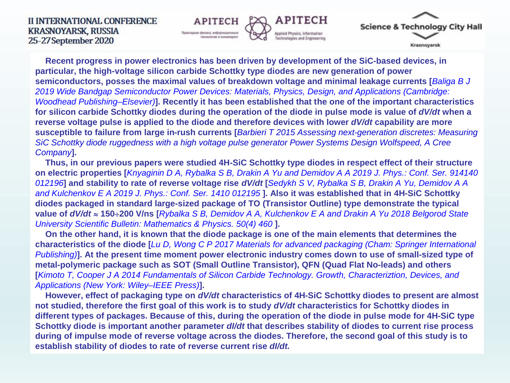



**Recent progress in power electronics has been driven by development of the SiC-based devices, in particular, the high-voltage silicon carbide Schottky type diodes are new generation of power semiconductors, posses the maximal values of breakdown voltage and minimal leakage currents [***Baliga B J 2019 Wide Bandgap Semiconductor Power Devices: Materials, Physics, Design, and Applications (Cambridge: Woodhead Publishing–Elsevier)***]. Recently it has been established that the one of the important characteristics for silicon carbide Schottky diodes during the operation of the diode in pulse mode is value of** *dV/dt* **when a reverse voltage pulse is applied to the diode and therefore devices with lower** *dV/dt* **capability are more susceptible to failure from large in-rush currents [***Barbieri T 2015 Assessing next-generation discretes: Measuring SiC Schottky diode ruggedness with a high voltage pulse generator Power Systems Design Wolfspeed, A Cree Company***].**

**Thus, in our previous papers were studied 4H-SiC Schottky type diodes in respect effect of their structure on electric properties [***Knyaginin D A, Rybalka S B, Drakin A Yu and Demidov A A 2019 J. Phys.: Conf. Ser. 914140 012196***] and stability to rate of reverse voltage rise** *dV/dt* **[***Sedykh S V, Rybalka S B, Drakin A Yu, Demidov A A and Kulchenkov E A 2019 J. Phys.: Conf. Ser. 1410 012195* **]. Also it was established that in 4H-SiC Schottky diodes packaged in standard large-sized package of TO (Transistor Outline) type demonstrate the typical value of** *dV/dt* » **150**¸**200 V/ns [***Rybalka S B, Demidov A A, Kulchenkov E A and Drakin A Yu 2018 Belgorod State University Scientific Bulletin: Mathematics & Physics. 50(4) 460* **].**

**On the other hand, it is known that the diode package is one of the main elements that determines the characteristics of the diode [***Lu D, Wong C P 2017 Materials for advanced packaging (Cham: Springer International Publishing)***]. At the present time moment power electronic industry comes down to use of small-sized type of metal-polymeric package such as SOT (Small Outline Transistor), QFN (Quad Flat No-leads) and others [***Kimoto T, Cooper J A 2014 Fundamentals of Silicon Carbide Technology. Growth, Characteriztion, Devices, and Applications (New York: Wiley–IEEE Press)***].**

**However, effect of packaging type on** *dV/dt* **characteristics of 4H-SiC Schottky diodes to present are almost not studied, therefore the first goal of this work is to study** *dV/dt* **characteristics for Schottky diodes in different types of packages. Because of this, during the operation of the diode in pulse mode for 4H-SiC type Schottky diode is important another parameter** *dI/dt* **that describes stability of diodes to current rise process during of impulse mode of reverse voltage across the diodes. Therefore, the second goal of this study is to establish stability of diodes to rate of reverse current rise** *dI/dt.*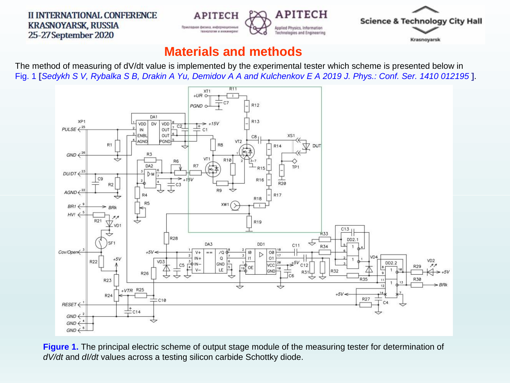



#### **Materials and methods**

The method of measuring of dV/dt value is implemented by the experimental tester which scheme is presented below in Fig. 1 **[***Sedykh S V, Rybalka S B, Drakin A Yu, Demidov A A and Kulchenkov E A 2019 J. Phys.: Conf. Ser. 1410 012195* **]**.



**Figure 1.** The principal electric scheme of output stage module of the measuring tester for determination of *dV/dt* and *dI/dt* values across a testing silicon carbide Schottky diode.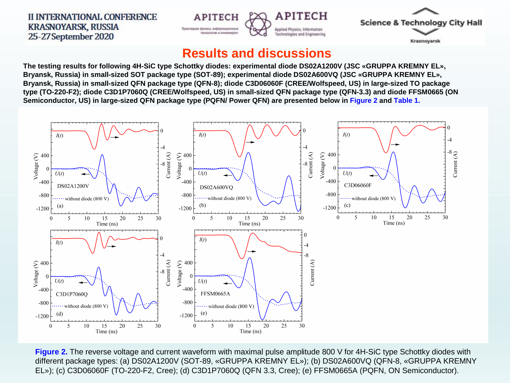



#### **Results and discussions**

**The testing results for following 4H-SiC type Schottky diodes: experimental diode DS02A1200V (JSC «GRUPPA KREMNY EL», Bryansk, Russia) in small-sized SOT package type (SOT-89); experimental diode DS02A600VQ (JSC «GRUPPA KREMNY EL», Bryansk, Russia) in small-sized QFN package type (QFN-8); diode C3D06060F (CREE/Wolfspeed, US) in large-sized TO package type (TO-220-F2); diode C3D1P7060Q (CREE/Wolfspeed, US) in small-sized QFN package type (QFN-3.3) and diode FFSM0665 (ON Semiconductor, US) in large-sized QFN package type (PQFN/ Power QFN) are presented below in Figure 2 and Table 1.**



**Figure 2.** The reverse voltage and current waveform with maximal pulse amplitude 800 V for 4H-SiC type Schottky diodes with different package types: (a) DS02A1200V (SOT-89, «GRUPPA KREMNY EL»); (b) DS02A600VQ (QFN-8, «GRUPPA KREMNY EL»); (c) C3D06060F (TO-220-F2, Cree); (d) C3D1P7060Q (QFN 3.3, Cree); (e) FFSM0665A (PQFN, ON Semiconductor).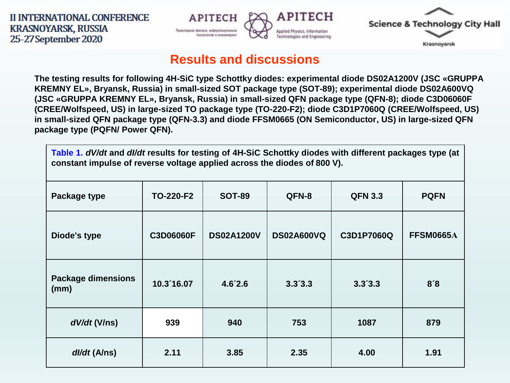



### **Results and discussions**

**The testing results for following 4H-SiC type Schottky diodes: experimental diode DS02A1200V (JSC «GRUPPA KREMNY EL», Bryansk, Russia) in small-sized SOT package type (SOT-89); experimental diode DS02A600VQ (JSC «GRUPPA KREMNY EL», Bryansk, Russia) in small-sized QFN package type (QFN-8); diode C3D06060F (CREE/Wolfspeed, US) in large-sized TO package type (TO-220-F2); diode C3D1P7060Q (CREE/Wolfspeed, US) in small-sized QFN package type (QFN-3.3) and diode FFSM0665 (ON Semiconductor, US) in large-sized QFN package type (PQFN/ Power QFN).**

**Table 1.** *dV/dt* **and** *dI/dt* **results for testing of 4H-SiC Schottky diodes with different packages type (at constant impulse of reverse voltage applied across the diodes of 800 V).**

| Package type                      | <b>TO-220-F2</b> | <b>SOT-89</b>     | QFN-8             | <b>QFN 3.3</b> | <b>PQFN</b> |
|-----------------------------------|------------------|-------------------|-------------------|----------------|-------------|
| Diode's type                      | <b>C3D06060F</b> | <b>DS02A1200V</b> | <b>DS02A600VQ</b> | C3D1P7060Q     | FFSM0665A   |
| <b>Package dimensions</b><br>(mm) | 10.3'16.07       | 4.6'2.6           | 3.3'3.3           | 3.3'3.3        | 8'8         |
| $dV/dt$ (V/ns)                    | 939              | 940               | 753               | 1087           | 879         |
| $dl/dt$ (A/ns)                    | 2.11             | 3.85              | 2.35              | 4.00           | 1.91        |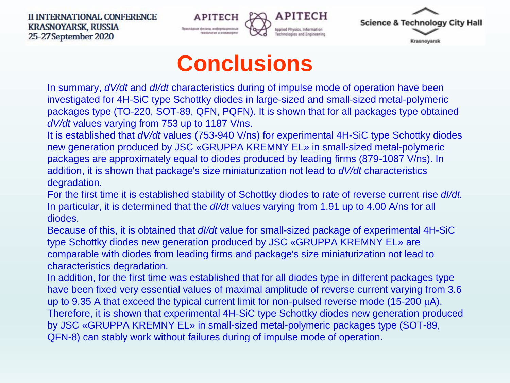



# **Conclusions**

In summary, *dV/dt* and *dI/dt* characteristics during of impulse mode of operation have been investigated for 4H-SiC type Schottky diodes in large-sized and small-sized metal-polymeric packages type (TO-220, SOT-89, QFN, PQFN). It is shown that for all packages type obtained *dV/dt* values varying from 753 up to 1187 V/ns.

It is established that *dV/dt* values (753-940 V/ns) for experimental 4H-SiC type Schottky diodes new generation produced by JSC «GRUPPA KREMNY EL» in small-sized metal-polymeric packages are approximately equal to diodes produced by leading firms (879-1087 V/ns). In addition, it is shown that package's size miniaturization not lead to *dV/dt* characteristics degradation.

For the first time it is established stability of Schottky diodes to rate of reverse current rise *dI/dt.* In particular, it is determined that the *dI/dt* values varying from 1.91 up to 4.00 A/ns for all diodes.

Because of this, it is obtained that *dI/dt* value for small-sized package of experimental 4H-SiC type Schottky diodes new generation produced by JSC «GRUPPA KREMNY EL» are comparable with diodes from leading firms and package's size miniaturization not lead to characteristics degradation.

In addition, for the first time was established that for all diodes type in different packages type have been fixed very essential values of maximal amplitude of reverse current varying from 3.6 up to 9.35 A that exceed the typical current limit for non-pulsed reverse mode (15-200  $\mu$ A). Therefore, it is shown that experimental 4H-SiC type Schottky diodes new generation produced by JSC «GRUPPA KREMNY EL» in small-sized metal-polymeric packages type (SOT-89, QFN-8) can stably work without failures during of impulse mode of operation.